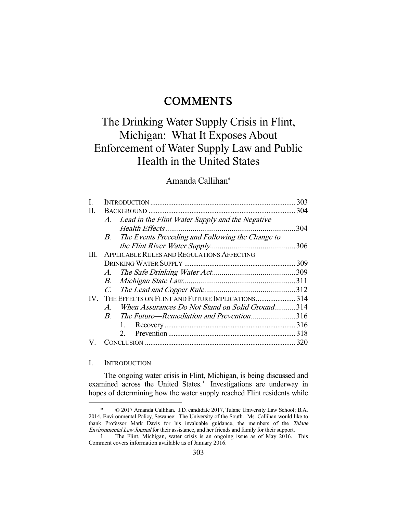## **COMMENTS**

# The Drinking Water Supply Crisis in Flint, Michigan: What It Exposes About Enforcement of Water Supply Law and Public Health in the United States

## Amanda Callihan\*

| L   |                       |                                                     | 303 |
|-----|-----------------------|-----------------------------------------------------|-----|
| П.  |                       |                                                     | 304 |
|     |                       | A. Lead in the Flint Water Supply and the Negative  |     |
|     |                       |                                                     | 304 |
|     |                       | B. The Events Preceding and Following the Change to |     |
|     |                       |                                                     |     |
| Ш.  |                       | <b>APPLICABLE RULES AND REGULATIONS AFFECTING</b>   |     |
|     |                       |                                                     | 309 |
|     |                       |                                                     |     |
|     |                       |                                                     |     |
|     | $C_{\cdot}$           |                                                     |     |
| IV. |                       | THE EFFECTS ON FLINT AND FUTURE IMPLICATIONS 314    |     |
|     | $\mathcal{A}_{\cdot}$ | When Assurances Do Not Stand on Solid Ground314     |     |
|     | $B_{-}$               | The Future—Remediation and Prevention316            |     |
|     |                       |                                                     |     |
|     |                       | $2^{\circ}$                                         |     |
|     |                       |                                                     | 320 |

#### I. INTRODUCTION

-

 The ongoing water crisis in Flint, Michigan, is being discussed and examined across the United States.<sup>1</sup> Investigations are underway in hopes of determining how the water supply reached Flint residents while

 <sup>\* © 2017</sup> Amanda Callihan. J.D. candidate 2017, Tulane University Law School; B.A. 2014, Environmental Policy, Sewanee: The University of the South. Ms. Callihan would like to thank Professor Mark Davis for his invaluable guidance, the members of the Tulane Environmental Law Journal for their assistance, and her friends and family for their support.

 <sup>1.</sup> The Flint, Michigan, water crisis is an ongoing issue as of May 2016. This Comment covers information available as of January 2016.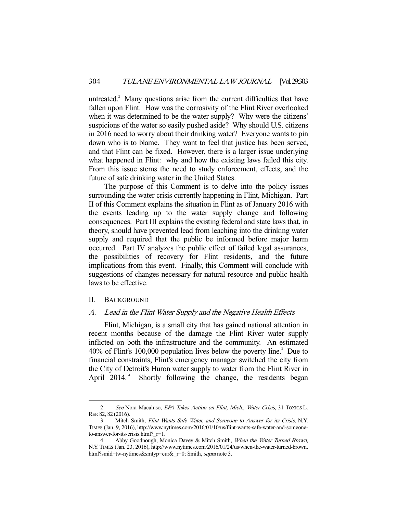untreated.<sup>2</sup> Many questions arise from the current difficulties that have fallen upon Flint. How was the corrosivity of the Flint River overlooked when it was determined to be the water supply? Why were the citizens' suspicions of the water so easily pushed aside? Why should U.S. citizens in 2016 need to worry about their drinking water? Everyone wants to pin down who is to blame. They want to feel that justice has been served, and that Flint can be fixed. However, there is a larger issue underlying what happened in Flint: why and how the existing laws failed this city. From this issue stems the need to study enforcement, effects, and the future of safe drinking water in the United States.

 The purpose of this Comment is to delve into the policy issues surrounding the water crisis currently happening in Flint, Michigan. Part II of this Comment explains the situation in Flint as of January 2016 with the events leading up to the water supply change and following consequences. Part III explains the existing federal and state laws that, in theory, should have prevented lead from leaching into the drinking water supply and required that the public be informed before major harm occurred. Part IV analyzes the public effect of failed legal assurances, the possibilities of recovery for Flint residents, and the future implications from this event. Finally, this Comment will conclude with suggestions of changes necessary for natural resource and public health laws to be effective.

#### II. BACKGROUND

-

#### A. Lead in the Flint Water Supply and the Negative Health Effects

 Flint, Michigan, is a small city that has gained national attention in recent months because of the damage the Flint River water supply inflicted on both the infrastructure and the community. An estimated  $40\%$  of Flint's 100,000 population lives below the poverty line.<sup>3</sup> Due to financial constraints, Flint's emergency manager switched the city from the City of Detroit's Huron water supply to water from the Flint River in April 2014.<sup>4</sup> Shortly following the change, the residents began

<sup>2.</sup> See Nora Macaluso, EPA Takes Action on Flint, Mich., Water Crisis, 31 TOXICS L. REP. 82, 82 (2016).

 <sup>3.</sup> Mitch Smith, Flint Wants Safe Water, and Someone to Answer for its Crisis, N.Y. TIMES (Jan. 9, 2016), http://www.nytimes.com/2016/01/10/us/flint-wants-safe-water-and-someoneto-answer-for-its-crisis.html?\_r=1.

<sup>4.</sup> Abby Goodnough, Monica Davey & Mitch Smith, When the Water Turned Brown, N.Y.TIMES (Jan. 23, 2016), http://www.nytimes.com/2016/01/24/us/when-the-water-turned-brown. html?smid=tw-nytimes&smtyp=cur&\_r=0; Smith, *supra* note 3.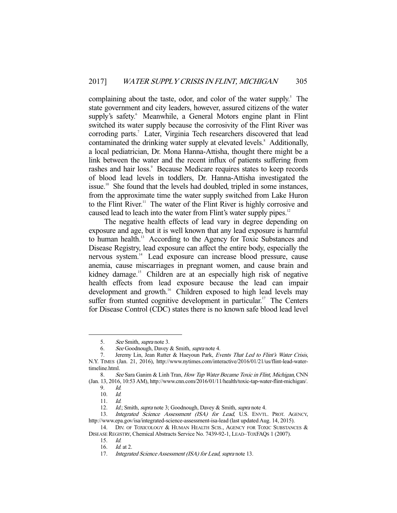complaining about the taste, odor, and color of the water supply.<sup>5</sup> The state government and city leaders, however, assured citizens of the water supply's safety.<sup>6</sup> Meanwhile, a General Motors engine plant in Flint switched its water supply because the corrosivity of the Flint River was corroding parts.<sup>7</sup> Later, Virginia Tech researchers discovered that lead contaminated the drinking water supply at elevated levels.<sup>8</sup> Additionally, a local pediatrician, Dr. Mona Hanna-Attisha, thought there might be a link between the water and the recent influx of patients suffering from rashes and hair loss.<sup>9</sup> Because Medicare requires states to keep records of blood lead levels in toddlers, Dr. Hanna-Attisha investigated the issue.10 She found that the levels had doubled, tripled in some instances, from the approximate time the water supply switched from Lake Huron to the Flint River.<sup>11</sup> The water of the Flint River is highly corrosive and caused lead to leach into the water from Flint's water supply pipes.<sup>12</sup>

 The negative health effects of lead vary in degree depending on exposure and age, but it is well known that any lead exposure is harmful to human health.<sup>13</sup> According to the Agency for Toxic Substances and Disease Registry, lead exposure can affect the entire body, especially the nervous system.14 Lead exposure can increase blood pressure, cause anemia, cause miscarriages in pregnant women, and cause brain and kidney damage.<sup>15</sup> Children are at an especially high risk of negative health effects from lead exposure because the lead can impair development and growth.<sup>16</sup> Children exposed to high lead levels may suffer from stunted cognitive development in particular.<sup>17</sup> The Centers for Disease Control (CDC) states there is no known safe blood lead level

<sup>5.</sup> See Smith, *supra* note 3.

 <sup>6.</sup> See Goodnough, Davey & Smith, supra note 4.

<sup>7.</sup> Jeremy Lin, Jean Rutter & Haeyoun Park, Events That Led to Flint's Water Crisis, N.Y. TIMES (Jan. 21, 2016), http://www.nytimes.com/interactive/2016/01/21/us/flint-lead-watertimeline.html.

<sup>8.</sup> See Sara Ganim & Linh Tran, How Tap Water Became Toxic in Flint, Michigan, CNN (Jan. 13, 2016, 10:53 AM), http://www.cnn.com/2016/01/11/health/toxic-tap-water-flint-michigan/.

 <sup>9.</sup> Id.

 <sup>10.</sup> Id.

 <sup>11.</sup> Id.

<sup>12.</sup> Id.; Smith, supra note 3; Goodnough, Davey & Smith, supra note 4.

<sup>13.</sup> Integrated Science Assessment (ISA) for Lead, U.S. ENVTL. PROT. AGENCY, http://www.epa.gov/isa/integrated-science-assessment-isa-lead (last updated Aug. 14, 2015).

<sup>14.</sup> DIV. OF TOXICOLOGY & HUMAN HEALTH SCIS., AGENCY FOR TOXIC SUBSTANCES & DISEASE REGISTRY, Chemical Abstracts Service No. 7439-92-1, LEAD–TOXFAQS 1 (2007).

 <sup>15.</sup> Id.

<sup>16.</sup> *Id.* at 2.

<sup>17.</sup> Integrated Science Assessment (ISA) for Lead, supra note 13.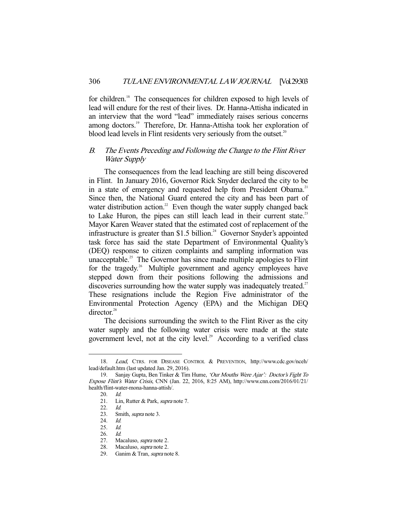for children.<sup>18</sup> The consequences for children exposed to high levels of lead will endure for the rest of their lives. Dr. Hanna-Attisha indicated in an interview that the word "lead" immediately raises serious concerns among doctors.<sup>19</sup> Therefore, Dr. Hanna-Attisha took her exploration of blood lead levels in Flint residents very seriously from the outset.<sup>20</sup>

### B. The Events Preceding and Following the Change to the Flint River Water Supply

 The consequences from the lead leaching are still being discovered in Flint. In January 2016, Governor Rick Snyder declared the city to be in a state of emergency and requested help from President Obama.<sup>21</sup> Since then, the National Guard entered the city and has been part of water distribution action.<sup>22</sup> Even though the water supply changed back to Lake Huron, the pipes can still leach lead in their current state.<sup>23</sup> Mayor Karen Weaver stated that the estimated cost of replacement of the infrastructure is greater than  $$1.5$  billion.<sup>24</sup> Governor Snyder's appointed task force has said the state Department of Environmental Quality's (DEQ) response to citizen complaints and sampling information was unacceptable.<sup>25</sup> The Governor has since made multiple apologies to Flint for the tragedy.<sup>26</sup> Multiple government and agency employees have stepped down from their positions following the admissions and discoveries surrounding how the water supply was inadequately treated.<sup>27</sup> These resignations include the Region Five administrator of the Environmental Protection Agency (EPA) and the Michigan DEQ director.<sup>28</sup>

 The decisions surrounding the switch to the Flint River as the city water supply and the following water crisis were made at the state government level, not at the city level. $29$  According to a verified class

 <sup>18.</sup> Lead, CTRS. FOR DISEASE CONTROL & PREVENTION, http://www.cdc.gov/nceh/ lead/default.htm (last updated Jan. 29, 2016).

<sup>19.</sup> Sanjay Gupta, Ben Tinker & Tim Hume, 'Our Mouths Were Ajar': Doctor's Fight To Expose Flint's Water Crisis, CNN (Jan. 22, 2016, 8:25 AM), http://www.cnn.com/2016/01/21/ health/flint-water-mona-hanna-attish/.

 <sup>20.</sup> Id.

<sup>21.</sup> Lin, Rutter & Park, *supra* note 7.

 <sup>22.</sup> Id.

<sup>23.</sup> Smith, *supra* note 3.

 <sup>24.</sup> Id.

 <sup>25.</sup> Id.

 <sup>26.</sup> Id.

 <sup>27.</sup> Macaluso, supra note 2.

<sup>28.</sup> Macaluso, *supra* note 2.

 <sup>29.</sup> Ganim & Tran, supra note 8.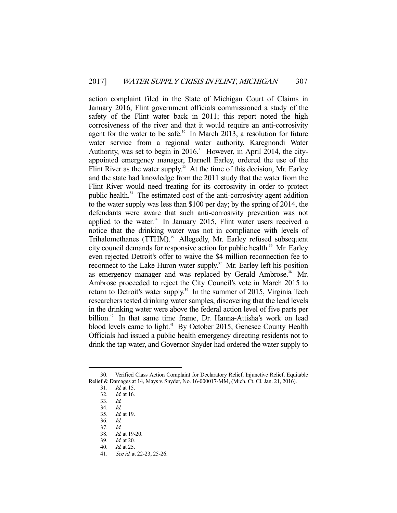action complaint filed in the State of Michigan Court of Claims in January 2016, Flint government officials commissioned a study of the safety of the Flint water back in 2011; this report noted the high corrosiveness of the river and that it would require an anti-corrosivity agent for the water to be safe.<sup>30</sup> In March 2013, a resolution for future water service from a regional water authority, Karegnondi Water Authority, was set to begin in  $2016$ .<sup>31</sup> However, in April 2014, the cityappointed emergency manager, Darnell Earley, ordered the use of the Flint River as the water supply.<sup>32</sup> At the time of this decision, Mr. Earley and the state had knowledge from the 2011 study that the water from the Flint River would need treating for its corrosivity in order to protect public health.<sup>33</sup> The estimated cost of the anti-corrosivity agent addition to the water supply was less than \$100 per day; by the spring of 2014, the defendants were aware that such anti-corrosivity prevention was not applied to the water. $34$  In January 2015, Flint water users received a notice that the drinking water was not in compliance with levels of Trihalomethanes (TTHM).<sup>35</sup> Allegedly, Mr. Earley refused subsequent city council demands for responsive action for public health.<sup>36</sup> Mr. Earley even rejected Detroit's offer to waive the \$4 million reconnection fee to reconnect to the Lake Huron water supply.<sup>37</sup> Mr. Earley left his position as emergency manager and was replaced by Gerald Ambrose.<sup>38</sup> Mr. Ambrose proceeded to reject the City Council's vote in March 2015 to return to Detroit's water supply.<sup>39</sup> In the summer of 2015, Virginia Tech researchers tested drinking water samples, discovering that the lead levels in the drinking water were above the federal action level of five parts per billion.<sup>40</sup> In that same time frame, Dr. Hanna-Attisha's work on lead blood levels came to light.<sup>41</sup> By October 2015, Genesee County Health Officials had issued a public health emergency directing residents not to drink the tap water, and Governor Snyder had ordered the water supply to

 <sup>30.</sup> Verified Class Action Complaint for Declaratory Relief, Injunctive Relief, Equitable Relief & Damages at 14, Mays v. Snyder, No. 16-000017-MM, (Mich. Ct. Cl. Jan. 21, 2016).

 <sup>31.</sup> Id. at 15.

 <sup>32.</sup> Id. at 16.

 <sup>33.</sup> Id.

 <sup>34.</sup> Id.

 <sup>35.</sup> Id. at 19.

 <sup>36.</sup> Id.

 <sup>37.</sup> Id.

 <sup>38.</sup> Id. at 19-20.

 <sup>39.</sup> Id. at 20.

 <sup>40.</sup> Id. at 25.

<sup>41.</sup> See id. at 22-23, 25-26.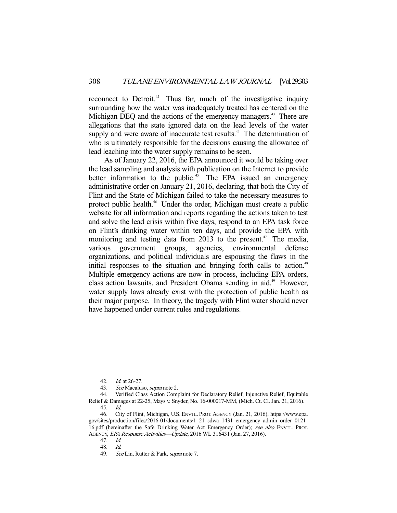reconnect to Detroit.<sup>42</sup> Thus far, much of the investigative inquiry surrounding how the water was inadequately treated has centered on the Michigan DEQ and the actions of the emergency managers.<sup>43</sup> There are allegations that the state ignored data on the lead levels of the water supply and were aware of inaccurate test results.<sup>44</sup> The determination of who is ultimately responsible for the decisions causing the allowance of lead leaching into the water supply remains to be seen.

 As of January 22, 2016, the EPA announced it would be taking over the lead sampling and analysis with publication on the Internet to provide better information to the public.<sup>45</sup> The EPA issued an emergency administrative order on January 21, 2016, declaring, that both the City of Flint and the State of Michigan failed to take the necessary measures to protect public health.<sup>46</sup> Under the order, Michigan must create a public website for all information and reports regarding the actions taken to test and solve the lead crisis within five days, respond to an EPA task force on Flint's drinking water within ten days, and provide the EPA with monitoring and testing data from 2013 to the present.<sup> $47$ </sup> The media, various government groups, agencies, environmental defense organizations, and political individuals are espousing the flaws in the initial responses to the situation and bringing forth calls to action.<sup>48</sup> Multiple emergency actions are now in process, including EPA orders, class action lawsuits, and President Obama sending in aid.<sup>49</sup> However, water supply laws already exist with the protection of public health as their major purpose. In theory, the tragedy with Flint water should never have happened under current rules and regulations.

 <sup>42.</sup> Id. at 26-27.

 <sup>43.</sup> See Macaluso, supra note 2.

 <sup>44.</sup> Verified Class Action Complaint for Declaratory Relief, Injunctive Relief, Equitable Relief & Damages at 22-25, Mays v. Snyder, No. 16-000017-MM, (Mich. Ct. Cl. Jan. 21, 2016).

 <sup>45.</sup> Id.

 <sup>46.</sup> City of Flint, Michigan, U.S. ENVTL. PROT. AGENCY (Jan. 21, 2016), https://www.epa. gov/sites/production/files/2016-01/documents/1\_21\_sdwa\_1431\_emergency\_admin\_order\_0121 16.pdf (hereinafter the Safe Drinking Water Act Emergency Order); see also ENVTL. PROT. AGENCY, EPA Response Activities—Update, 2016 WL 316431 (Jan. 27, 2016).

 <sup>47.</sup> Id.

 <sup>48.</sup> Id.

<sup>49.</sup> See Lin, Rutter & Park, *supra* note 7.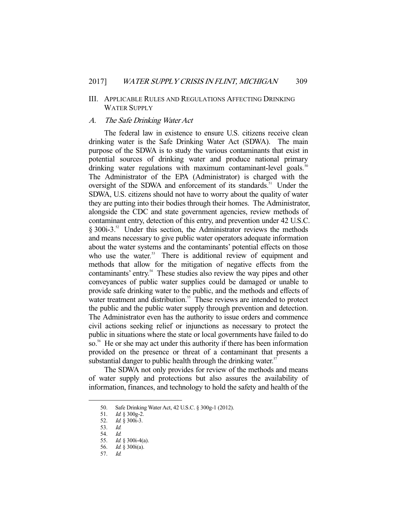#### III. APPLICABLE RULES AND REGULATIONS AFFECTING DRINKING WATER SUPPLY

#### A. The Safe Drinking Water Act

 The federal law in existence to ensure U.S. citizens receive clean drinking water is the Safe Drinking Water Act (SDWA). The main purpose of the SDWA is to study the various contaminants that exist in potential sources of drinking water and produce national primary drinking water regulations with maximum contaminant-level goals.<sup>50</sup> The Administrator of the EPA (Administrator) is charged with the oversight of the SDWA and enforcement of its standards.<sup>51</sup> Under the SDWA, U.S. citizens should not have to worry about the quality of water they are putting into their bodies through their homes. The Administrator, alongside the CDC and state government agencies, review methods of contaminant entry, detection of this entry, and prevention under 42 U.S.C.  $§$  300i-3.<sup>52</sup> Under this section, the Administrator reviews the methods and means necessary to give public water operators adequate information about the water systems and the contaminants' potential effects on those who use the water.<sup>53</sup> There is additional review of equipment and methods that allow for the mitigation of negative effects from the contaminants' entry.<sup>54</sup> These studies also review the way pipes and other conveyances of public water supplies could be damaged or unable to provide safe drinking water to the public, and the methods and effects of water treatment and distribution.<sup>55</sup> These reviews are intended to protect the public and the public water supply through prevention and detection. The Administrator even has the authority to issue orders and commence civil actions seeking relief or injunctions as necessary to protect the public in situations where the state or local governments have failed to do so.<sup>56</sup> He or she may act under this authority if there has been information provided on the presence or threat of a contaminant that presents a substantial danger to public health through the drinking water. $57$ 

 The SDWA not only provides for review of the methods and means of water supply and protections but also assures the availability of information, finances, and technology to hold the safety and health of the

 <sup>50.</sup> Safe Drinking Water Act, 42 U.S.C. § 300g-1 (2012).

<sup>51.</sup> *Id.* § 300g-2.

<sup>52.</sup> *Id.* § 300i-3.

 <sup>53.</sup> Id.

 <sup>54.</sup> Id.

<sup>55.</sup> *Id.* § 300i-4(a).<br>56. *Id.* § 300i(a).

Id.  $§$  300 $i$ (a).

 <sup>57.</sup> Id.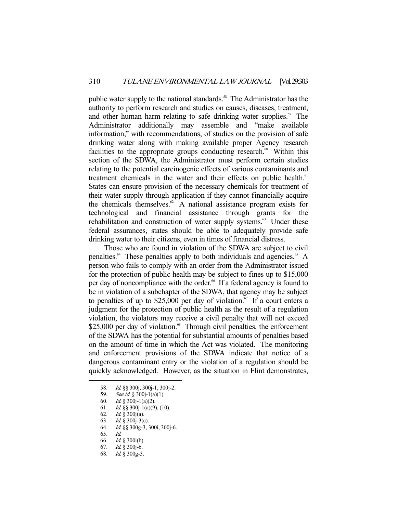public water supply to the national standards.<sup>58</sup> The Administrator has the authority to perform research and studies on causes, diseases, treatment, and other human harm relating to safe drinking water supplies.<sup>59</sup> The Administrator additionally may assemble and "make available information," with recommendations, of studies on the provision of safe drinking water along with making available proper Agency research facilities to the appropriate groups conducting research. $\omega$  Within this section of the SDWA, the Administrator must perform certain studies relating to the potential carcinogenic effects of various contaminants and treatment chemicals in the water and their effects on public health.<sup>61</sup> States can ensure provision of the necessary chemicals for treatment of their water supply through application if they cannot financially acquire the chemicals themselves. $62 A$  national assistance program exists for technological and financial assistance through grants for the rehabilitation and construction of water supply systems.<sup>63</sup> Under these federal assurances, states should be able to adequately provide safe drinking water to their citizens, even in times of financial distress.

 Those who are found in violation of the SDWA are subject to civil penalties.<sup>64</sup> These penalties apply to both individuals and agencies.<sup>65</sup> A person who fails to comply with an order from the Administrator issued for the protection of public health may be subject to fines up to \$15,000 per day of noncompliance with the order.<sup>66</sup> If a federal agency is found to be in violation of a subchapter of the SDWA, that agency may be subject to penalties of up to \$25,000 per day of violation.<sup>67</sup> If a court enters a judgment for the protection of public health as the result of a regulation violation, the violators may receive a civil penalty that will not exceed  $$25,000$  per day of violation.<sup>68</sup> Through civil penalties, the enforcement of the SDWA has the potential for substantial amounts of penalties based on the amount of time in which the Act was violated. The monitoring and enforcement provisions of the SDWA indicate that notice of a dangerous contaminant entry or the violation of a regulation should be quickly acknowledged. However, as the situation in Flint demonstrates,

- 64. Id. §§ 300g-3, 300i, 300j-6.
- 65. Id.

 <sup>58.</sup> Id. §§ 300j, 300j-1, 300j-2.

<sup>59.</sup> See id.  $\S 300$ j-1(a)(1).

 <sup>60.</sup> Id. § 300j-1(a)(2).

<sup>61.</sup> *Id.* §§ 300 $j-1$ (a)(9), (10).

 <sup>62.</sup> Id. § 300j(a).

 <sup>63.</sup> Id. § 300j-3(c).

 <sup>66.</sup> Id. § 300i(b).

 <sup>67.</sup> Id. § 300j-6.

 <sup>68.</sup> Id. § 300g-3.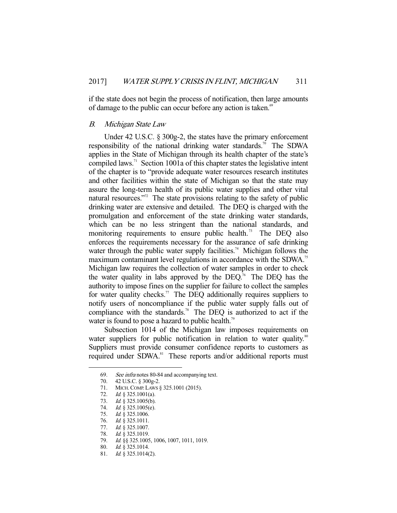if the state does not begin the process of notification, then large amounts of damage to the public can occur before any action is taken.<sup>69</sup>

#### B. Michigan State Law

 Under 42 U.S.C. § 300g-2, the states have the primary enforcement responsibility of the national drinking water standards.<sup>70</sup> The SDWA applies in the State of Michigan through its health chapter of the state's compiled laws.<sup>71</sup> Section 1001a of this chapter states the legislative intent of the chapter is to "provide adequate water resources research institutes and other facilities within the state of Michigan so that the state may assure the long-term health of its public water supplies and other vital natural resources."<sup>72</sup> The state provisions relating to the safety of public drinking water are extensive and detailed. The DEQ is charged with the promulgation and enforcement of the state drinking water standards, which can be no less stringent than the national standards, and monitoring requirements to ensure public health.<sup>73</sup> The DEQ also enforces the requirements necessary for the assurance of safe drinking water through the public water supply facilities.<sup>74</sup> Michigan follows the maximum contaminant level regulations in accordance with the SDWA.<sup>75</sup> Michigan law requires the collection of water samples in order to check the water quality in labs approved by the DEQ.76 The DEQ has the authority to impose fines on the supplier for failure to collect the samples for water quality checks.<sup>77</sup> The DEQ additionally requires suppliers to notify users of noncompliance if the public water supply falls out of compliance with the standards.<sup>78</sup> The DEQ is authorized to act if the water is found to pose a hazard to public health.<sup>79</sup>

 Subsection 1014 of the Michigan law imposes requirements on water suppliers for public notification in relation to water quality.<sup>80</sup> Suppliers must provide consumer confidence reports to customers as required under SDWA.<sup>81</sup> These reports and/or additional reports must

 <sup>69.</sup> See infra notes 80-84 and accompanying text.

 <sup>70. 42</sup> U.S.C. § 300g-2.

 <sup>71.</sup> MICH.COMP. LAWS § 325.1001 (2015).

<sup>72.</sup> *Id.* § 325.1001(a).

<sup>73.</sup> *Id.* § 325.1005(b).

<sup>74.</sup> *Id.* § 325.1005(e).

 <sup>75.</sup> Id. § 325.1006.

<sup>76.</sup> *Id.* § 325.1011.

<sup>77.</sup> *Id.* § 325.1007.

<sup>78.</sup> *Id.* § 325.1019.

 <sup>79.</sup> Id. §§ 325.1005, 1006, 1007, 1011, 1019.

<sup>80.</sup> *Id.* § 325.1014.

 <sup>81.</sup> Id. § 325.1014(2).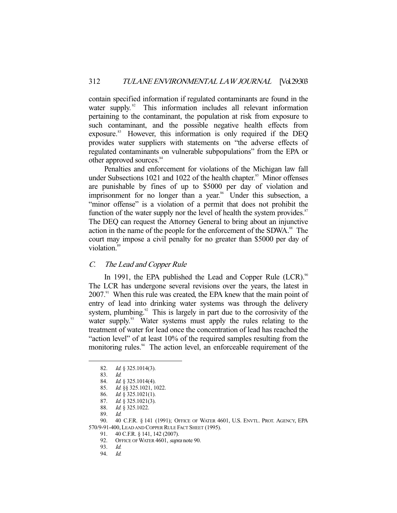contain specified information if regulated contaminants are found in the water supply.<sup>82</sup> This information includes all relevant information pertaining to the contaminant, the population at risk from exposure to such contaminant, and the possible negative health effects from exposure.<sup>83</sup> However, this information is only required if the DEQ provides water suppliers with statements on "the adverse effects of regulated contaminants on vulnerable subpopulations" from the EPA or other approved sources.<sup>84</sup>

 Penalties and enforcement for violations of the Michigan law fall under Subsections 1021 and 1022 of the health chapter.<sup>85</sup> Minor offenses are punishable by fines of up to \$5000 per day of violation and imprisonment for no longer than a year.<sup>86</sup> Under this subsection, a "minor offense" is a violation of a permit that does not prohibit the function of the water supply nor the level of health the system provides.<sup>87</sup> The DEQ can request the Attorney General to bring about an injunctive action in the name of the people for the enforcement of the SDWA.<sup>88</sup> The court may impose a civil penalty for no greater than \$5000 per day of violation.<sup>89</sup>

#### C. The Lead and Copper Rule

In 1991, the EPA published the Lead and Copper Rule (LCR).<sup>90</sup> The LCR has undergone several revisions over the years, the latest in  $2007<sup>91</sup>$  When this rule was created, the EPA knew that the main point of entry of lead into drinking water systems was through the delivery system, plumbing. $92$  This is largely in part due to the corrosivity of the water supply.<sup>93</sup> Water systems must apply the rules relating to the treatment of water for lead once the concentration of lead has reached the "action level" of at least 10% of the required samples resulting from the monitoring rules.<sup>94</sup> The action level, an enforceable requirement of the

 <sup>82.</sup> Id. § 325.1014(3).

 <sup>83.</sup> Id.

 <sup>84.</sup> Id. § 325.1014(4).

 <sup>85.</sup> Id. §§ 325.1021, 1022.

 <sup>86.</sup> Id. § 325.1021(1).

<sup>87.</sup> *Id.*  $\check{\S}$  325.1021(3).

 <sup>88.</sup> Id. § 325.1022.

 <sup>89.</sup> Id.

 <sup>90. 40</sup> C.F.R. § 141 (1991); OFFICE OF WATER 4601, U.S. ENVTL. PROT. AGENCY, EPA 570/9-91-400,LEAD AND COPPER RULE FACT SHEET (1995).

 <sup>91. 40</sup> C.F.R. § 141, 142 (2007).

<sup>92.</sup> OFFICE OF WATER 4601, supra note 90.

 <sup>93.</sup> Id.

 <sup>94.</sup> Id.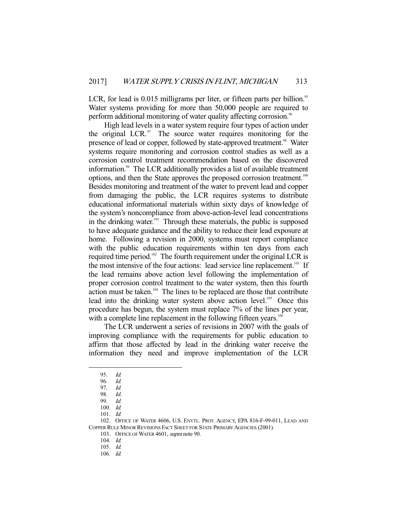LCR, for lead is  $0.015$  milligrams per liter, or fifteen parts per billion.<sup>95</sup> Water systems providing for more than 50,000 people are required to perform additional monitoring of water quality affecting corrosion.<sup>96</sup>

 High lead levels in a water system require four types of action under the original LCR. $\degree$  The source water requires monitoring for the presence of lead or copper, followed by state-approved treatment.<sup>98</sup> Water systems require monitoring and corrosion control studies as well as a corrosion control treatment recommendation based on the discovered information.99 The LCR additionally provides a list of available treatment options, and then the State approves the proposed corrosion treatment.<sup>100</sup> Besides monitoring and treatment of the water to prevent lead and copper from damaging the public, the LCR requires systems to distribute educational informational materials within sixty days of knowledge of the system's noncompliance from above-action-level lead concentrations in the drinking water.<sup>101</sup> Through these materials, the public is supposed to have adequate guidance and the ability to reduce their lead exposure at home. Following a revision in 2000, systems must report compliance with the public education requirements within ten days from each required time period.<sup>102</sup> The fourth requirement under the original LCR is the most intensive of the four actions: lead service line replacement.<sup>103</sup> If the lead remains above action level following the implementation of proper corrosion control treatment to the water system, then this fourth action must be taken. $104$  The lines to be replaced are those that contribute lead into the drinking water system above action level.<sup>105</sup> Once this procedure has begun, the system must replace 7% of the lines per year, with a complete line replacement in the following fifteen years.<sup>106</sup>

 The LCR underwent a series of revisions in 2007 with the goals of improving compliance with the requirements for public education to affirm that those affected by lead in the drinking water receive the information they need and improve implementation of the LCR

-

103. OFFICE OF WATER 4601, supra note 90.

104. Id.

106. Id.

 <sup>95.</sup> Id.

 <sup>96.</sup> Id.

 <sup>97.</sup> Id.

 <sup>98.</sup> Id.

 <sup>99.</sup> Id.

 <sup>100.</sup> Id.

 <sup>101.</sup> Id.

 <sup>102.</sup> OFFICE OF WATER 4606, U.S. ENVTL. PROT. AGENCY, EPA 816-F-99-011, LEAD AND COPPER RULE MINOR REVISIONS FACT SHEET FOR STATE PRIMARY AGENCIES (2001).

 <sup>105.</sup> Id.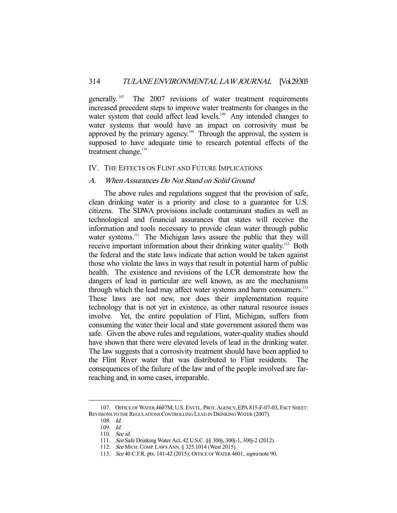generally.<sup>107</sup> The 2007 revisions of water treatment requirements increased precedent steps to improve water treatments for changes in the water system that could affect lead levels.<sup>108</sup> Any intended changes to water systems that would have an impact on corrosivity must be approved by the primary agency.109 Through the approval, the system is supposed to have adequate time to research potential effects of the treatment change. $110$ 

#### IV. THE EFFECTS ON FLINT AND FUTURE IMPLICATIONS

#### A. When Assurances Do Not Stand on Solid Ground

 The above rules and regulations suggest that the provision of safe, clean drinking water is a priority and close to a guarantee for U.S. citizens. The SDWA provisions include contaminant studies as well as technological and financial assurances that states will receive the information and tools necessary to provide clean water through public water systems.<sup>111</sup> The Michigan laws assure the public that they will receive important information about their drinking water quality.<sup>112</sup> Both the federal and the state laws indicate that action would be taken against those who violate the laws in ways that result in potential harm of public health. The existence and revisions of the LCR demonstrate how the dangers of lead in particular are well known, as are the mechanisms through which the lead may affect water systems and harm consumers.<sup>113</sup> These laws are not new, nor does their implementation require technology that is not yet in existence, as other natural resource issues involve. Yet, the entire population of Flint, Michigan, suffers from consuming the water their local and state government assured them was safe. Given the above rules and regulations, water-quality studies should have shown that there were elevated levels of lead in the drinking water. The law suggests that a corrosivity treatment should have been applied to the Flint River water that was distributed to Flint residents. The consequences of the failure of the law and of the people involved are farreaching and, in some cases, irreparable.

 <sup>107.</sup> OFFICE OF WATER 4607M, U.S. ENVTL. PROT. AGENCY, EPA 815-F-07-03, FACT SHEET: REVISIONS TO THE REGULATIONS CONTROLLING LEAD IN DRINKING WATER (2007).

 <sup>108.</sup> Id.

 <sup>109.</sup> Id.

 <sup>110.</sup> See id.

 <sup>111.</sup> See Safe Drinking Water Act, 42 U.S.C. §§ 300j, 300j-1, 300j-2 (2012).

<sup>112.</sup> See MICH. COMP. LAWS ANN. § 325.1014 (West 2015).

<sup>113.</sup> See 40 C.F.R. pts. 141-42 (2015); OFFICE OF WATER 4601, supra note 90.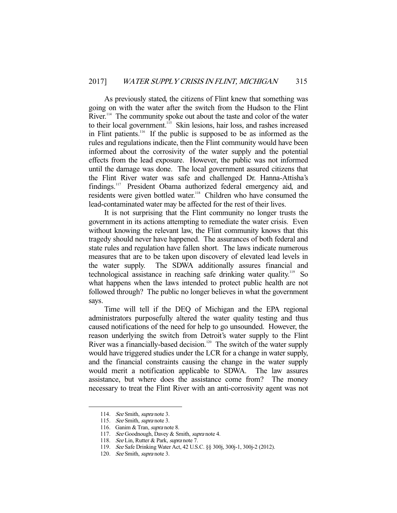As previously stated, the citizens of Flint knew that something was going on with the water after the switch from the Hudson to the Flint River.<sup>114</sup> The community spoke out about the taste and color of the water to their local government.<sup>115</sup> Skin lesions, hair loss, and rashes increased in Flint patients.116 If the public is supposed to be as informed as the rules and regulations indicate, then the Flint community would have been informed about the corrosivity of the water supply and the potential effects from the lead exposure. However, the public was not informed until the damage was done. The local government assured citizens that the Flint River water was safe and challenged Dr. Hanna-Attisha's findings.<sup>117</sup> President Obama authorized federal emergency aid, and residents were given bottled water.<sup>118</sup> Children who have consumed the lead-contaminated water may be affected for the rest of their lives.

 It is not surprising that the Flint community no longer trusts the government in its actions attempting to remediate the water crisis. Even without knowing the relevant law, the Flint community knows that this tragedy should never have happened. The assurances of both federal and state rules and regulation have fallen short. The laws indicate numerous measures that are to be taken upon discovery of elevated lead levels in the water supply. The SDWA additionally assures financial and technological assistance in reaching safe drinking water quality.119 So what happens when the laws intended to protect public health are not followed through? The public no longer believes in what the government says.

 Time will tell if the DEQ of Michigan and the EPA regional administrators purposefully altered the water quality testing and thus caused notifications of the need for help to go unsounded. However, the reason underlying the switch from Detroit's water supply to the Flint River was a financially-based decision.<sup>120</sup> The switch of the water supply would have triggered studies under the LCR for a change in water supply, and the financial constraints causing the change in the water supply would merit a notification applicable to SDWA. The law assures assistance, but where does the assistance come from? The money necessary to treat the Flint River with an anti-corrosivity agent was not

<sup>114.</sup> See Smith, supra note 3.

<sup>115.</sup> See Smith, supra note 3.

<sup>116.</sup> Ganim & Tran, supra note 8.

 <sup>117.</sup> See Goodnough, Davey & Smith, supra note 4.

<sup>118.</sup> See Lin, Rutter & Park, supra note 7.

 <sup>119.</sup> See Safe Drinking Water Act, 42 U.S.C. §§ 300j, 300j-1, 300j-2 (2012).

<sup>120.</sup> See Smith, supra note 3.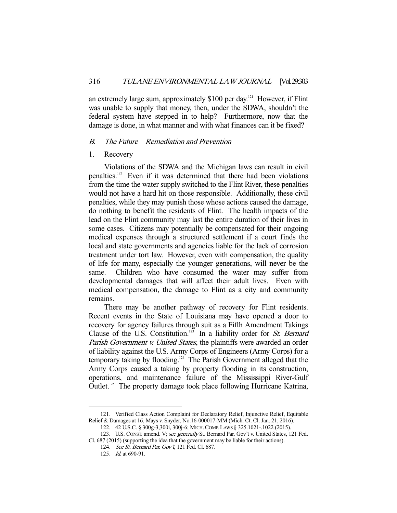an extremely large sum, approximately \$100 per day.<sup>121</sup> However, if Flint was unable to supply that money, then, under the SDWA, shouldn't the federal system have stepped in to help? Furthermore, now that the damage is done, in what manner and with what finances can it be fixed?

#### B. The Future—Remediation and Prevention

#### 1. Recovery

 Violations of the SDWA and the Michigan laws can result in civil penalties.122 Even if it was determined that there had been violations from the time the water supply switched to the Flint River, these penalties would not have a hard hit on those responsible. Additionally, these civil penalties, while they may punish those whose actions caused the damage, do nothing to benefit the residents of Flint. The health impacts of the lead on the Flint community may last the entire duration of their lives in some cases. Citizens may potentially be compensated for their ongoing medical expenses through a structured settlement if a court finds the local and state governments and agencies liable for the lack of corrosion treatment under tort law. However, even with compensation, the quality of life for many, especially the younger generations, will never be the same. Children who have consumed the water may suffer from developmental damages that will affect their adult lives. Even with medical compensation, the damage to Flint as a city and community remains.

 There may be another pathway of recovery for Flint residents. Recent events in the State of Louisiana may have opened a door to recovery for agency failures through suit as a Fifth Amendment Takings Clause of the U.S. Constitution.<sup>123</sup> In a liability order for St. Bernard Parish Government v. United States, the plaintiffs were awarded an order of liability against the U.S. Army Corps of Engineers (Army Corps) for a temporary taking by flooding.124 The Parish Government alleged that the Army Corps caused a taking by property flooding in its construction, operations, and maintenance failure of the Mississippi River-Gulf Outlet.125 The property damage took place following Hurricane Katrina,

 <sup>121.</sup> Verified Class Action Complaint for Declaratory Relief, Injunctive Relief, Equitable Relief & Damages at 16, Mays v. Snyder, No.16-000017-MM (Mich. Ct. Cl. Jan. 21, 2016).

 <sup>122. 42</sup> U.S.C. § 300g-3,300i, 300j-6; MICH.COMP. LAWS § 325.1021-.1022 (2015).

 <sup>123.</sup> U.S. CONST. amend. V; see generally St. Bernard Par. Gov't v. United States, 121 Fed.

Cl. 687 (2015) (supporting the idea that the government may be liable for their actions).

<sup>124.</sup> See St. Bernard Par. Gov't, 121 Fed. Cl. 687.

<sup>125.</sup> *Id.* at 690-91.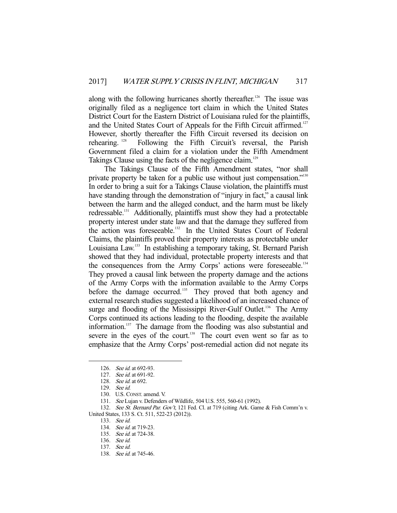along with the following hurricanes shortly thereafter.<sup>126</sup> The issue was originally filed as a negligence tort claim in which the United States District Court for the Eastern District of Louisiana ruled for the plaintiffs, and the United States Court of Appeals for the Fifth Circuit affirmed.<sup>127</sup> However, shortly thereafter the Fifth Circuit reversed its decision on rehearing. 128 Following the Fifth Circuit's reversal, the Parish Government filed a claim for a violation under the Fifth Amendment Takings Clause using the facts of the negligence claim.<sup>129</sup>

 The Takings Clause of the Fifth Amendment states, "nor shall private property be taken for a public use without just compensation."<sup>130</sup> In order to bring a suit for a Takings Clause violation, the plaintiffs must have standing through the demonstration of "injury in fact," a causal link between the harm and the alleged conduct, and the harm must be likely redressable.<sup>131</sup> Additionally, plaintiffs must show they had a protectable property interest under state law and that the damage they suffered from the action was foreseeable.<sup>132</sup> In the United States Court of Federal Claims, the plaintiffs proved their property interests as protectable under Louisiana Law.<sup>133</sup> In establishing a temporary taking, St. Bernard Parish showed that they had individual, protectable property interests and that the consequences from the Army Corps' actions were foreseeable.<sup>134</sup> They proved a causal link between the property damage and the actions of the Army Corps with the information available to the Army Corps before the damage occurred.<sup>135</sup> They proved that both agency and external research studies suggested a likelihood of an increased chance of surge and flooding of the Mississippi River-Gulf Outlet.<sup>136</sup> The Army Corps continued its actions leading to the flooding, despite the available information.<sup>137</sup> The damage from the flooding was also substantial and severe in the eyes of the court.<sup>138</sup> The court even went so far as to emphasize that the Army Corps' post-remedial action did not negate its

 <sup>126.</sup> See id. at 692-93.

<sup>127.</sup> See id. at 691-92.

 <sup>128.</sup> See id. at 692.

 <sup>129.</sup> See id.

 <sup>130.</sup> U.S. CONST. amend. V.

 <sup>131.</sup> See Lujan v. Defenders of Wildlife, 504 U.S. 555, 560-61 (1992).

<sup>132.</sup> See St. Bernard Par. Gov't, 121 Fed. Cl. at 719 (citing Ark. Game & Fish Comm'n v. United States, 133 S. Ct. 511, 522-23 (2012)).

 <sup>133.</sup> See id.

<sup>134.</sup> See id. at 719-23.

<sup>135.</sup> See id. at 724-38.

 <sup>136.</sup> See id.

 <sup>137.</sup> See id.

<sup>138.</sup> See id. at 745-46.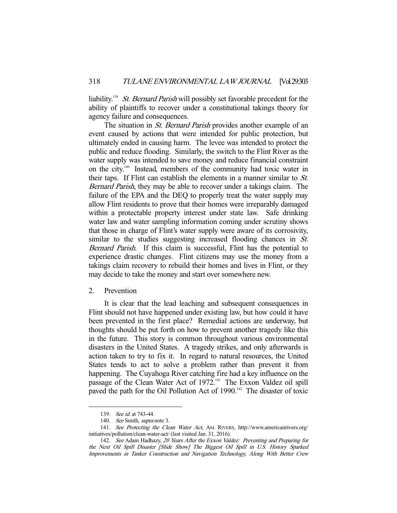liability.<sup>139</sup> St. Bernard Parish will possibly set favorable precedent for the ability of plaintiffs to recover under a constitutional takings theory for agency failure and consequences.

The situation in *St. Bernard Parish* provides another example of an event caused by actions that were intended for public protection, but ultimately ended in causing harm. The levee was intended to protect the public and reduce flooding. Similarly, the switch to the Flint River as the water supply was intended to save money and reduce financial constraint on the city.140 Instead, members of the community had toxic water in their taps. If Flint can establish the elements in a manner similar to St. Bernard Parish, they may be able to recover under a takings claim. The failure of the EPA and the DEQ to properly treat the water supply may allow Flint residents to prove that their homes were irreparably damaged within a protectable property interest under state law. Safe drinking water law and water sampling information coming under scrutiny shows that those in charge of Flint's water supply were aware of its corrosivity, similar to the studies suggesting increased flooding chances in St. Bernard Parish. If this claim is successful, Flint has the potential to experience drastic changes. Flint citizens may use the money from a takings claim recovery to rebuild their homes and lives in Flint, or they may decide to take the money and start over somewhere new.

#### 2. Prevention

 It is clear that the lead leaching and subsequent consequences in Flint should not have happened under existing law, but how could it have been prevented in the first place? Remedial actions are underway, but thoughts should be put forth on how to prevent another tragedy like this in the future. This story is common throughout various environmental disasters in the United States. A tragedy strikes, and only afterwards is action taken to try to fix it. In regard to natural resources, the United States tends to act to solve a problem rather than prevent it from happening. The Cuyahoga River catching fire had a key influence on the passage of the Clean Water Act of 1972.<sup>141</sup> The Exxon Valdez oil spill paved the path for the Oil Pollution Act of 1990.<sup>142</sup> The disaster of toxic

 <sup>139.</sup> See id. at 743-44.

<sup>140.</sup> See Smith, supra note 3.

 <sup>141.</sup> See Protecting the Clean Water Act, AM. RIVERS, http://www.americanrivers.org/ initiatives/pollution/clean-water-act/ (last visited Jan. 31, 2016).

 <sup>142.</sup> See Adam Hadhazy, 20 Years After the Exxon Valdez: Preventing and Preparing for the Next Oil Spill Disaster [Slide Show] The Biggest Oil Spill in U.S. History Sparked Improvements in Tanker Construction and Navigation Technology, Along With Better Crew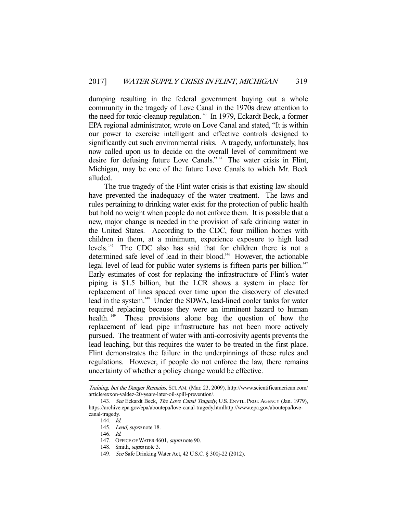dumping resulting in the federal government buying out a whole community in the tragedy of Love Canal in the 1970s drew attention to the need for toxic-cleanup regulation.<sup>143</sup> In 1979, Eckardt Beck, a former EPA regional administrator, wrote on Love Canal and stated, "It is within our power to exercise intelligent and effective controls designed to significantly cut such environmental risks. A tragedy, unfortunately, has now called upon us to decide on the overall level of commitment we desire for defusing future Love Canals."144 The water crisis in Flint, Michigan, may be one of the future Love Canals to which Mr. Beck alluded.

 The true tragedy of the Flint water crisis is that existing law should have prevented the inadequacy of the water treatment. The laws and rules pertaining to drinking water exist for the protection of public health but hold no weight when people do not enforce them. It is possible that a new, major change is needed in the provision of safe drinking water in the United States. According to the CDC, four million homes with children in them, at a minimum, experience exposure to high lead levels.145 The CDC also has said that for children there is not a determined safe level of lead in their blood.<sup>146</sup> However, the actionable legal level of lead for public water systems is fifteen parts per billion.<sup>147</sup> Early estimates of cost for replacing the infrastructure of Flint's water piping is \$1.5 billion, but the LCR shows a system in place for replacement of lines spaced over time upon the discovery of elevated lead in the system.<sup>148</sup> Under the SDWA, lead-lined cooler tanks for water required replacing because they were an imminent hazard to human health.<sup>149</sup> These provisions alone beg the question of how the replacement of lead pipe infrastructure has not been more actively pursued. The treatment of water with anti-corrosivity agents prevents the lead leaching, but this requires the water to be treated in the first place. Flint demonstrates the failure in the underpinnings of these rules and regulations. However, if people do not enforce the law, there remains uncertainty of whether a policy change would be effective.

Training, but the Danger Remains, SCI.AM. (Mar. 23, 2009), http://www.scientificamerican.com/ article/exxon-valdez-20-years-later-oil-spill-prevention/.

<sup>143.</sup> See Eckardt Beck, The Love Canal Tragedy, U.S. ENVTL. PROT. AGENCY (Jan. 1979), https://archive.epa.gov/epa/aboutepa/love-canal-tragedy.htmlhttp://www.epa.gov/aboutepa/lovecanal-tragedy.

 <sup>144.</sup> Id.

<sup>145.</sup> Lead, supra note 18.

 <sup>146.</sup> Id.

<sup>147.</sup> OFFICE OF WATER 4601, supra note 90.

 <sup>148.</sup> Smith, supra note 3.

 <sup>149.</sup> See Safe Drinking Water Act, 42 U.S.C. § 300j-22 (2012).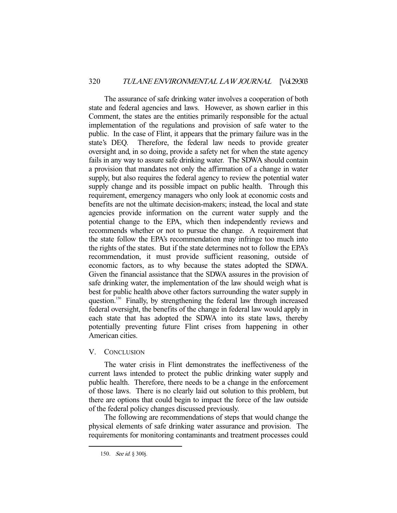The assurance of safe drinking water involves a cooperation of both state and federal agencies and laws. However, as shown earlier in this Comment, the states are the entities primarily responsible for the actual implementation of the regulations and provision of safe water to the public. In the case of Flint, it appears that the primary failure was in the state's DEQ. Therefore, the federal law needs to provide greater oversight and, in so doing, provide a safety net for when the state agency fails in any way to assure safe drinking water. The SDWA should contain a provision that mandates not only the affirmation of a change in water supply, but also requires the federal agency to review the potential water supply change and its possible impact on public health. Through this requirement, emergency managers who only look at economic costs and benefits are not the ultimate decision-makers; instead, the local and state agencies provide information on the current water supply and the potential change to the EPA, which then independently reviews and recommends whether or not to pursue the change. A requirement that the state follow the EPA's recommendation may infringe too much into the rights of the states. But if the state determines not to follow the EPA's recommendation, it must provide sufficient reasoning, outside of economic factors, as to why because the states adopted the SDWA. Given the financial assistance that the SDWA assures in the provision of safe drinking water, the implementation of the law should weigh what is best for public health above other factors surrounding the water supply in question.<sup>150</sup> Finally, by strengthening the federal law through increased federal oversight, the benefits of the change in federal law would apply in each state that has adopted the SDWA into its state laws, thereby potentially preventing future Flint crises from happening in other American cities.

#### V. CONCLUSION

 The water crisis in Flint demonstrates the ineffectiveness of the current laws intended to protect the public drinking water supply and public health. Therefore, there needs to be a change in the enforcement of those laws. There is no clearly laid out solution to this problem, but there are options that could begin to impact the force of the law outside of the federal policy changes discussed previously.

 The following are recommendations of steps that would change the physical elements of safe drinking water assurance and provision. The requirements for monitoring contaminants and treatment processes could

 <sup>150.</sup> See id. § 300j.